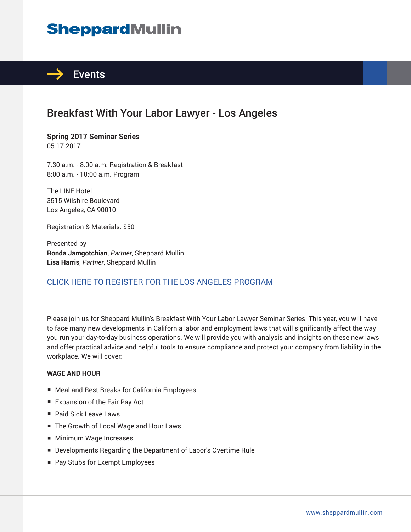# **SheppardMullin**



## Breakfast With Your Labor Lawyer - Los Angeles

**Spring 2017 Seminar Series** 05.17.2017

7:30 a.m. - 8:00 a.m. Registration & Breakfast 8:00 a.m. - 10:00 a.m. Program

The LINE Hotel 3515 Wilshire Boulevard Los Angeles, CA 90010

Registration & Materials: \$50

Presented by **Ronda Jamgotchian**, *Partner*, Sheppard Mullin **Lisa Harris**, *Partner*, Sheppard Mullin

### CLICK HERE TO REGISTER FOR THE LOS ANGELES PROGRAM

Please join us for Sheppard Mullin's Breakfast With Your Labor Lawyer Seminar Series. This year, you will have to face many new developments in California labor and employment laws that will significantly affect the way you run your day-to-day business operations. We will provide you with analysis and insights on these new laws and offer practical advice and helpful tools to ensure compliance and protect your company from liability in the workplace. We will cover:

#### **WAGE AND HOUR**

- Meal and Rest Breaks for California Employees
- Expansion of the Fair Pay Act
- Paid Sick Leave Laws
- The Growth of Local Wage and Hour Laws
- Minimum Wage Increases
- Developments Regarding the Department of Labor's Overtime Rule
- Pay Stubs for Exempt Employees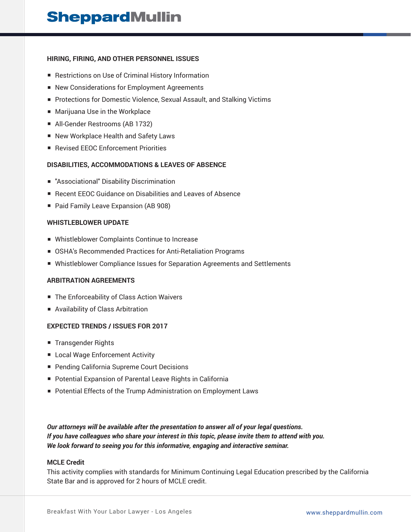#### **HIRING, FIRING, AND OTHER PERSONNEL ISSUES**

- Restrictions on Use of Criminal History Information
- New Considerations for Employment Agreements
- Protections for Domestic Violence, Sexual Assault, and Stalking Victims
- Marijuana Use in the Workplace
- All-Gender Restrooms (AB 1732)
- New Workplace Health and Safety Laws
- Revised EEOC Enforcement Priorities

#### **DISABILITIES, ACCOMMODATIONS & LEAVES OF ABSENCE**

- "Associational" Disability Discrimination
- Recent EEOC Guidance on Disabilities and Leaves of Absence
- Paid Family Leave Expansion (AB 908)

#### **WHISTLEBLOWER UPDATE**

- Whistleblower Complaints Continue to Increase
- OSHA's Recommended Practices for Anti-Retaliation Programs
- Whistleblower Compliance Issues for Separation Agreements and Settlements

#### **ARBITRATION AGREEMENTS**

- The Enforceability of Class Action Waivers
- Availability of Class Arbitration

#### **EXPECTED TRENDS / ISSUES FOR 2017**

- Transgender Rights
- Local Wage Enforcement Activity
- Pending California Supreme Court Decisions
- Potential Expansion of Parental Leave Rights in California
- Potential Effects of the Trump Administration on Employment Laws

*Our attorneys will be available after the presentation to answer all of your legal questions. If you have colleagues who share your interest in this topic, please invite them to attend with you. We look forward to seeing you for this informative, engaging and interactive seminar.*

#### **MCLE Credit**

This activity complies with standards for Minimum Continuing Legal Education prescribed by the California State Bar and is approved for 2 hours of MCLE credit.